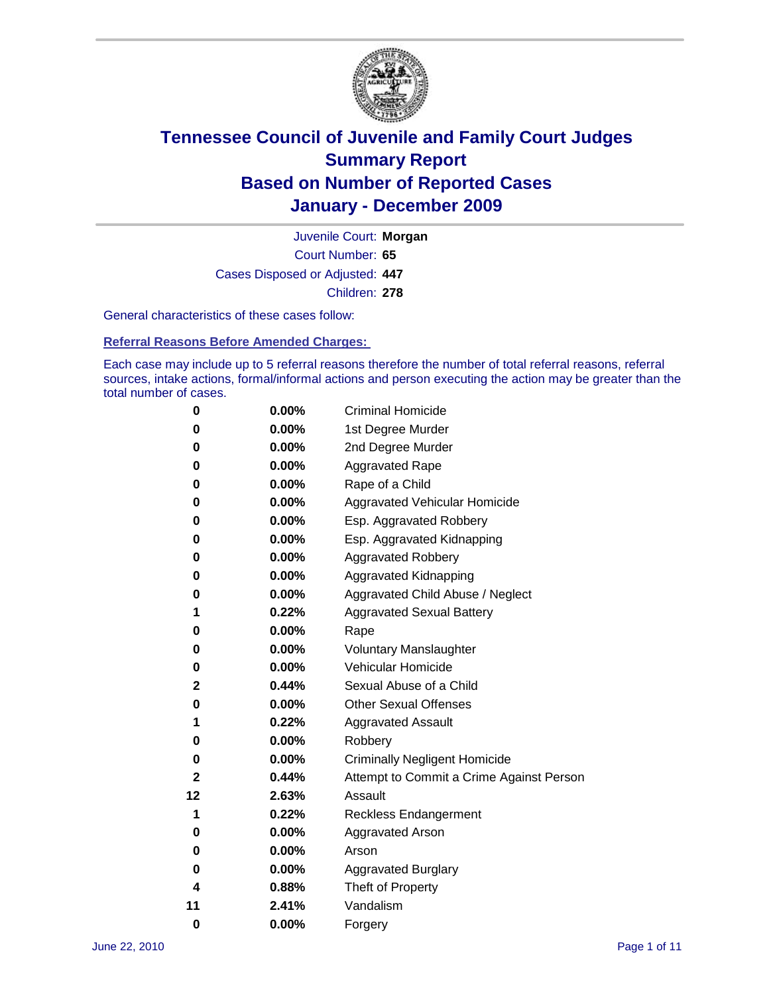

Court Number: **65** Juvenile Court: **Morgan** Cases Disposed or Adjusted: **447** Children: **278**

General characteristics of these cases follow:

**Referral Reasons Before Amended Charges:** 

Each case may include up to 5 referral reasons therefore the number of total referral reasons, referral sources, intake actions, formal/informal actions and person executing the action may be greater than the total number of cases.

| 0  | 0.00%    | <b>Criminal Homicide</b>                 |
|----|----------|------------------------------------------|
| 0  | 0.00%    | 1st Degree Murder                        |
| 0  | 0.00%    | 2nd Degree Murder                        |
| 0  | 0.00%    | <b>Aggravated Rape</b>                   |
| 0  | 0.00%    | Rape of a Child                          |
| 0  | 0.00%    | Aggravated Vehicular Homicide            |
| 0  | 0.00%    | Esp. Aggravated Robbery                  |
| 0  | 0.00%    | Esp. Aggravated Kidnapping               |
| 0  | 0.00%    | <b>Aggravated Robbery</b>                |
| 0  | 0.00%    | Aggravated Kidnapping                    |
| 0  | 0.00%    | Aggravated Child Abuse / Neglect         |
| 1  | 0.22%    | <b>Aggravated Sexual Battery</b>         |
| 0  | 0.00%    | Rape                                     |
| 0  | $0.00\%$ | <b>Voluntary Manslaughter</b>            |
| 0  | 0.00%    | Vehicular Homicide                       |
| 2  | 0.44%    | Sexual Abuse of a Child                  |
| 0  | 0.00%    | <b>Other Sexual Offenses</b>             |
| 1  | 0.22%    | <b>Aggravated Assault</b>                |
| 0  | $0.00\%$ | Robbery                                  |
| 0  | 0.00%    | <b>Criminally Negligent Homicide</b>     |
| 2  | 0.44%    | Attempt to Commit a Crime Against Person |
| 12 | 2.63%    | Assault                                  |
| 1  | 0.22%    | <b>Reckless Endangerment</b>             |
| 0  | 0.00%    | <b>Aggravated Arson</b>                  |
| 0  | 0.00%    | Arson                                    |
| 0  | 0.00%    | <b>Aggravated Burglary</b>               |
| 4  | 0.88%    | Theft of Property                        |
| 11 | 2.41%    | Vandalism                                |
| 0  | 0.00%    | Forgery                                  |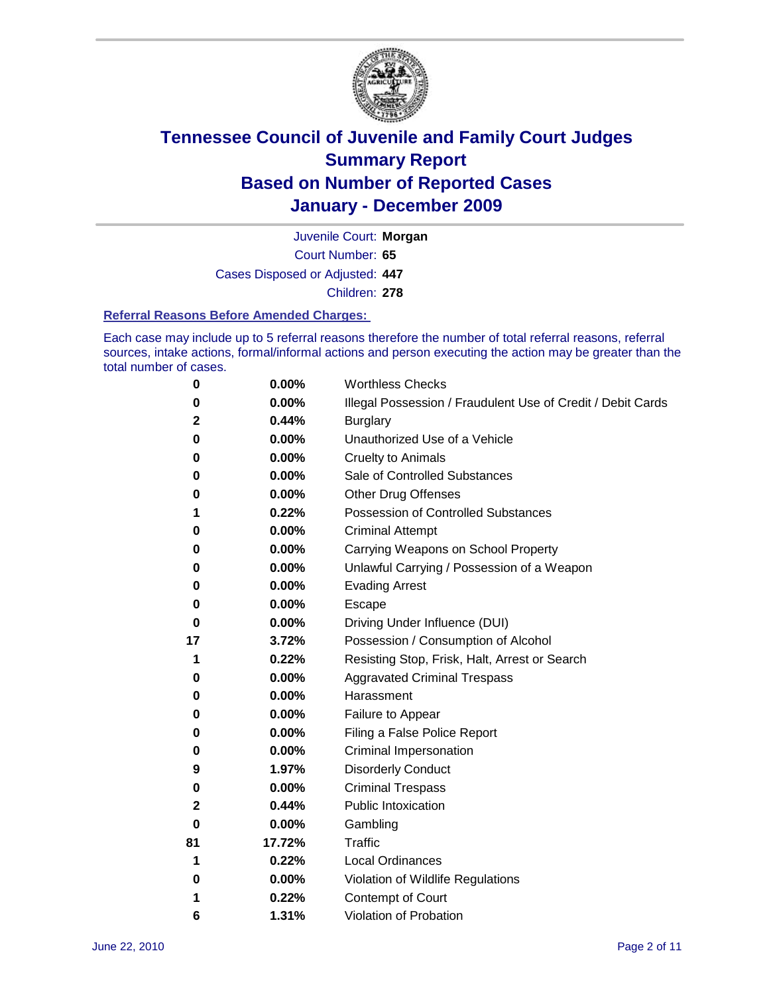

Court Number: **65** Juvenile Court: **Morgan** Cases Disposed or Adjusted: **447** Children: **278**

#### **Referral Reasons Before Amended Charges:**

Each case may include up to 5 referral reasons therefore the number of total referral reasons, referral sources, intake actions, formal/informal actions and person executing the action may be greater than the total number of cases.

| 0  | 0.00%  | <b>Worthless Checks</b>                                     |
|----|--------|-------------------------------------------------------------|
| 0  | 0.00%  | Illegal Possession / Fraudulent Use of Credit / Debit Cards |
| 2  | 0.44%  | <b>Burglary</b>                                             |
| 0  | 0.00%  | Unauthorized Use of a Vehicle                               |
| 0  | 0.00%  | <b>Cruelty to Animals</b>                                   |
| 0  | 0.00%  | Sale of Controlled Substances                               |
| 0  | 0.00%  | <b>Other Drug Offenses</b>                                  |
| 1  | 0.22%  | <b>Possession of Controlled Substances</b>                  |
| 0  | 0.00%  | <b>Criminal Attempt</b>                                     |
| 0  | 0.00%  | Carrying Weapons on School Property                         |
| 0  | 0.00%  | Unlawful Carrying / Possession of a Weapon                  |
| 0  | 0.00%  | <b>Evading Arrest</b>                                       |
| 0  | 0.00%  | Escape                                                      |
| 0  | 0.00%  | Driving Under Influence (DUI)                               |
| 17 | 3.72%  | Possession / Consumption of Alcohol                         |
| 1  | 0.22%  | Resisting Stop, Frisk, Halt, Arrest or Search               |
| 0  | 0.00%  | <b>Aggravated Criminal Trespass</b>                         |
| 0  | 0.00%  | Harassment                                                  |
| 0  | 0.00%  | Failure to Appear                                           |
| 0  | 0.00%  | Filing a False Police Report                                |
| 0  | 0.00%  | Criminal Impersonation                                      |
| 9  | 1.97%  | <b>Disorderly Conduct</b>                                   |
| 0  | 0.00%  | <b>Criminal Trespass</b>                                    |
| 2  | 0.44%  | <b>Public Intoxication</b>                                  |
| 0  | 0.00%  | Gambling                                                    |
| 81 | 17.72% | <b>Traffic</b>                                              |
| 1  | 0.22%  | <b>Local Ordinances</b>                                     |
| 0  | 0.00%  | Violation of Wildlife Regulations                           |
| 1  | 0.22%  | Contempt of Court                                           |
| 6  | 1.31%  | Violation of Probation                                      |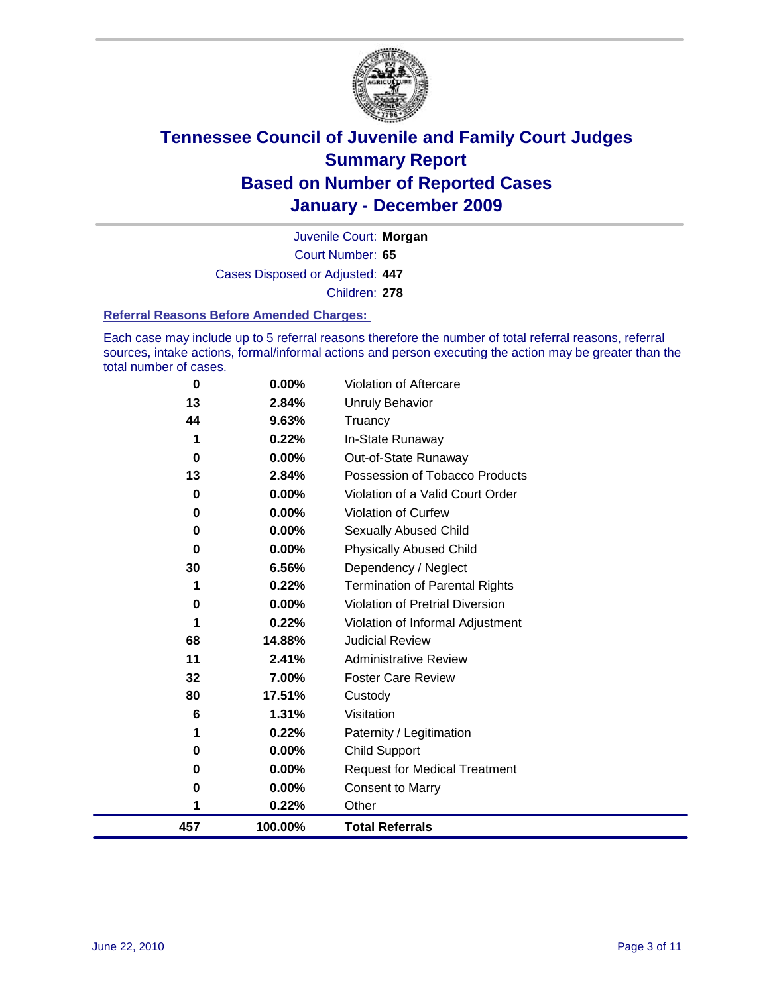

Court Number: **65** Juvenile Court: **Morgan** Cases Disposed or Adjusted: **447** Children: **278**

#### **Referral Reasons Before Amended Charges:**

Each case may include up to 5 referral reasons therefore the number of total referral reasons, referral sources, intake actions, formal/informal actions and person executing the action may be greater than the total number of cases.

| 457 | 100.00%  | <b>Total Referrals</b>                 |
|-----|----------|----------------------------------------|
| 1   | 0.22%    | Other                                  |
| 0   | 0.00%    | <b>Consent to Marry</b>                |
| 0   | 0.00%    | <b>Request for Medical Treatment</b>   |
| 0   | 0.00%    | <b>Child Support</b>                   |
| 1   | 0.22%    | Paternity / Legitimation               |
| 6   | 1.31%    | Visitation                             |
| 80  | 17.51%   | Custody                                |
| 32  | 7.00%    | <b>Foster Care Review</b>              |
| 11  | 2.41%    | <b>Administrative Review</b>           |
| 68  | 14.88%   | <b>Judicial Review</b>                 |
| 1   | 0.22%    | Violation of Informal Adjustment       |
| 0   | 0.00%    | <b>Violation of Pretrial Diversion</b> |
| 1   | 0.22%    | <b>Termination of Parental Rights</b>  |
| 30  | 6.56%    | Dependency / Neglect                   |
| 0   | 0.00%    | <b>Physically Abused Child</b>         |
| 0   | 0.00%    | Sexually Abused Child                  |
| 0   | $0.00\%$ | <b>Violation of Curfew</b>             |
| 0   | 0.00%    | Violation of a Valid Court Order       |
| 13  | 2.84%    | Possession of Tobacco Products         |
| 0   | 0.00%    | Out-of-State Runaway                   |
| 1   | 0.22%    | In-State Runaway                       |
| 44  | 9.63%    | Truancy                                |
| 13  | 2.84%    | Unruly Behavior                        |
| 0   | 0.00%    | Violation of Aftercare                 |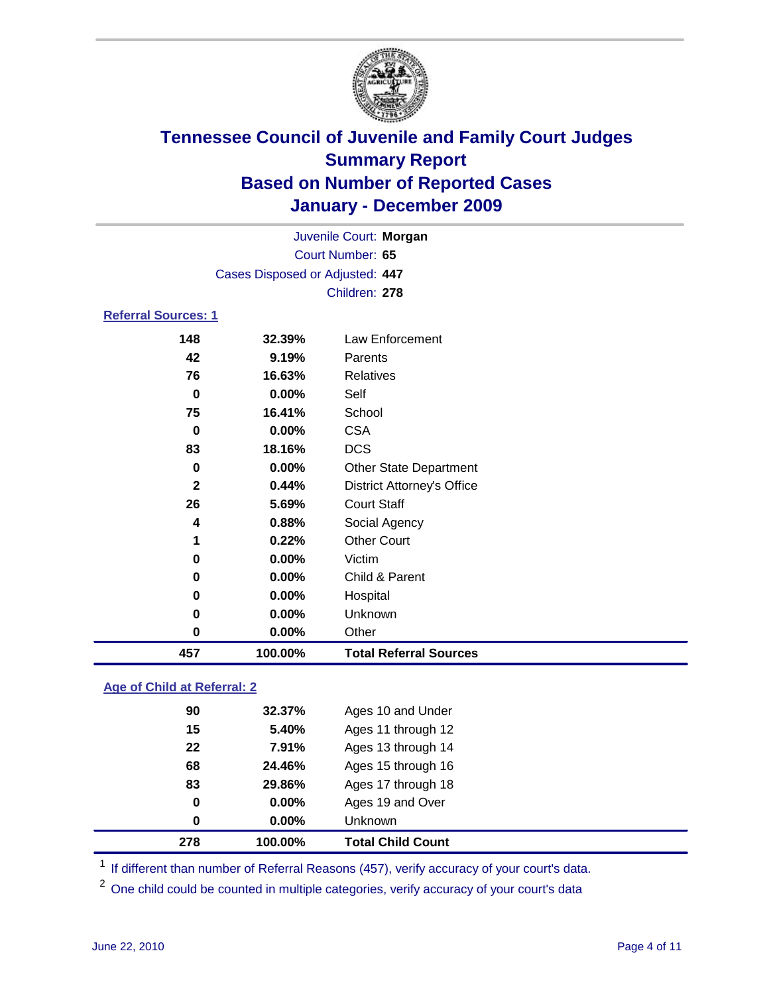

|                            |                                 | Juvenile Court: Morgan            |
|----------------------------|---------------------------------|-----------------------------------|
|                            |                                 | Court Number: 65                  |
|                            | Cases Disposed or Adjusted: 447 |                                   |
|                            |                                 | Children: 278                     |
| <b>Referral Sources: 1</b> |                                 |                                   |
| 148                        | 32.39%                          | Law Enforcement                   |
| 42                         | 9.19%                           | Parents                           |
| 76                         | 16.63%                          | <b>Relatives</b>                  |
| $\bf{0}$                   | 0.00%                           | Self                              |
| 75                         | 16.41%                          | School                            |
| 0                          | 0.00%                           | <b>CSA</b>                        |
| 83                         | 18.16%                          | <b>DCS</b>                        |
| 0                          | 0.00%                           | <b>Other State Department</b>     |
| 2                          | 0.44%                           | <b>District Attorney's Office</b> |
| 26                         | 5.69%                           | <b>Court Staff</b>                |
| 4                          | 0.88%                           | Social Agency                     |
| 1                          | 0.22%                           | <b>Other Court</b>                |
| 0                          | 0.00%                           | Victim                            |
| 0                          | 0.00%                           | Child & Parent                    |
| 0                          | 0.00%                           | Hospital                          |
| 0                          | 0.00%                           | Unknown                           |
| 0                          | 0.00%                           | Other                             |
| 457                        | 100.00%                         | <b>Total Referral Sources</b>     |

### **Age of Child at Referral: 2**

| 278 | 100.00% | <b>Total Child Count</b> |
|-----|---------|--------------------------|
| 0   | 0.00%   | Unknown                  |
| 0   | 0.00%   | Ages 19 and Over         |
| 83  | 29.86%  | Ages 17 through 18       |
| 68  | 24.46%  | Ages 15 through 16       |
| 22  | 7.91%   | Ages 13 through 14       |
| 15  | 5.40%   | Ages 11 through 12       |
| 90  | 32.37%  | Ages 10 and Under        |
|     |         |                          |

<sup>1</sup> If different than number of Referral Reasons (457), verify accuracy of your court's data.

<sup>2</sup> One child could be counted in multiple categories, verify accuracy of your court's data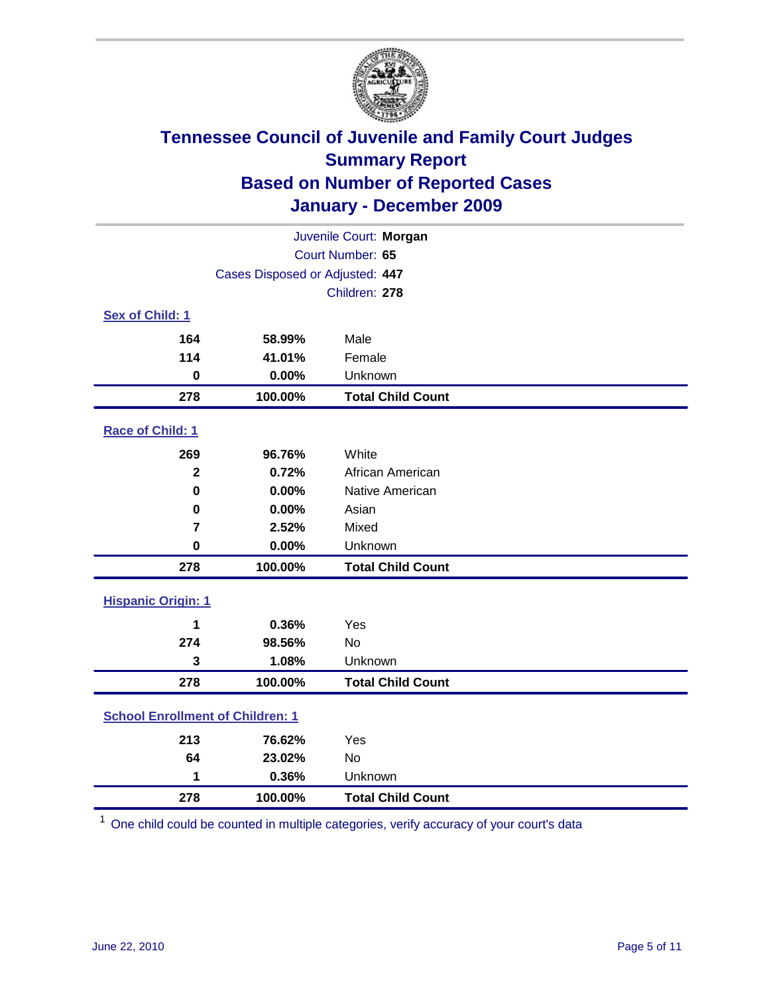

| Juvenile Court: Morgan                  |                                 |                          |  |  |
|-----------------------------------------|---------------------------------|--------------------------|--|--|
|                                         | Court Number: 65                |                          |  |  |
|                                         | Cases Disposed or Adjusted: 447 |                          |  |  |
|                                         |                                 | Children: 278            |  |  |
| Sex of Child: 1                         |                                 |                          |  |  |
| 164                                     | 58.99%                          | Male                     |  |  |
| 114                                     | 41.01%                          | Female                   |  |  |
| $\bf{0}$                                | 0.00%                           | Unknown                  |  |  |
| 278                                     | 100.00%                         | <b>Total Child Count</b> |  |  |
| Race of Child: 1                        |                                 |                          |  |  |
| 269                                     | 96.76%                          | White                    |  |  |
| $\mathbf{2}$                            | 0.72%                           | African American         |  |  |
| 0                                       | 0.00%                           | Native American          |  |  |
| $\mathbf 0$                             | 0.00%                           | Asian                    |  |  |
| $\overline{7}$                          | 2.52%                           | Mixed                    |  |  |
| $\mathbf 0$                             | 0.00%                           | Unknown                  |  |  |
| 278                                     | 100.00%                         | <b>Total Child Count</b> |  |  |
| <b>Hispanic Origin: 1</b>               |                                 |                          |  |  |
| 1                                       | 0.36%                           | Yes                      |  |  |
| 274                                     | 98.56%                          | <b>No</b>                |  |  |
| 3                                       | 1.08%                           | Unknown                  |  |  |
| 278                                     | 100.00%                         | <b>Total Child Count</b> |  |  |
| <b>School Enrollment of Children: 1</b> |                                 |                          |  |  |
| 213                                     | 76.62%                          | Yes                      |  |  |
| 64                                      | 23.02%                          | No                       |  |  |
| 1                                       | 0.36%                           | Unknown                  |  |  |
| 278                                     | 100.00%                         | <b>Total Child Count</b> |  |  |

One child could be counted in multiple categories, verify accuracy of your court's data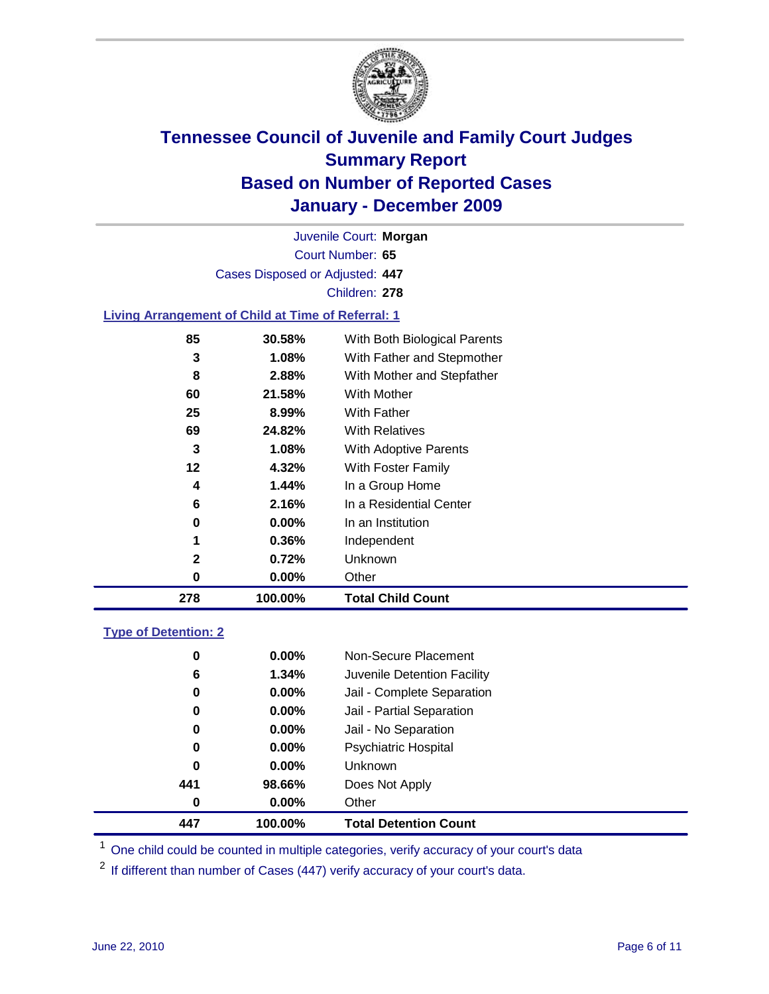

Court Number: **65** Juvenile Court: **Morgan** Cases Disposed or Adjusted: **447** Children: **278**

### **Living Arrangement of Child at Time of Referral: 1**

| 278          | 100.00% | <b>Total Child Count</b>     |
|--------------|---------|------------------------------|
| 0            | 0.00%   | Other                        |
| $\mathbf{2}$ | 0.72%   | Unknown                      |
| 1            | 0.36%   | Independent                  |
| 0            | 0.00%   | In an Institution            |
| 6            | 2.16%   | In a Residential Center      |
| 4            | 1.44%   | In a Group Home              |
| 12           | 4.32%   | With Foster Family           |
| 3            | 1.08%   | With Adoptive Parents        |
| 69           | 24.82%  | <b>With Relatives</b>        |
| 25           | 8.99%   | With Father                  |
| 60           | 21.58%  | With Mother                  |
| 8            | 2.88%   | With Mother and Stepfather   |
| 3            | 1.08%   | With Father and Stepmother   |
| 85           | 30.58%  | With Both Biological Parents |
|              |         |                              |

#### **Type of Detention: 2**

| 447 | 100.00%  | <b>Total Detention Count</b> |  |
|-----|----------|------------------------------|--|
| 0   | $0.00\%$ | Other                        |  |
| 441 | 98.66%   | Does Not Apply               |  |
| 0   | $0.00\%$ | <b>Unknown</b>               |  |
| 0   | 0.00%    | <b>Psychiatric Hospital</b>  |  |
| 0   | 0.00%    | Jail - No Separation         |  |
| 0   | $0.00\%$ | Jail - Partial Separation    |  |
| 0   | $0.00\%$ | Jail - Complete Separation   |  |
| 6   | 1.34%    | Juvenile Detention Facility  |  |
| 0   | $0.00\%$ | Non-Secure Placement         |  |
|     |          |                              |  |

<sup>1</sup> One child could be counted in multiple categories, verify accuracy of your court's data

<sup>2</sup> If different than number of Cases (447) verify accuracy of your court's data.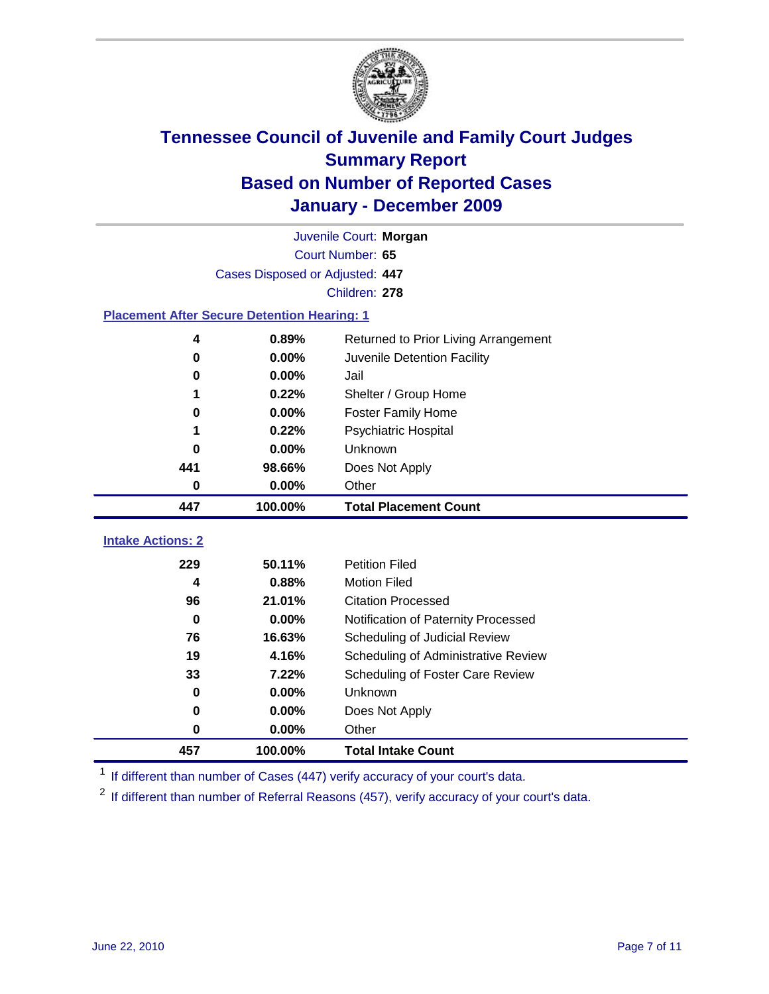

|                                                    | Juvenile Court: Morgan          |                                      |  |  |  |
|----------------------------------------------------|---------------------------------|--------------------------------------|--|--|--|
|                                                    | Court Number: 65                |                                      |  |  |  |
|                                                    | Cases Disposed or Adjusted: 447 |                                      |  |  |  |
|                                                    |                                 | Children: 278                        |  |  |  |
| <b>Placement After Secure Detention Hearing: 1</b> |                                 |                                      |  |  |  |
| 4                                                  | 0.89%                           | Returned to Prior Living Arrangement |  |  |  |
| $\mathbf 0$                                        | 0.00%                           | Juvenile Detention Facility          |  |  |  |
| $\bf{0}$                                           | 0.00%                           | Jail                                 |  |  |  |
| 1                                                  | 0.22%                           | Shelter / Group Home                 |  |  |  |
| $\mathbf 0$                                        | 0.00%                           | Foster Family Home                   |  |  |  |
| 1                                                  | 0.22%                           | Psychiatric Hospital                 |  |  |  |
| 0                                                  | 0.00%                           | Unknown                              |  |  |  |
| 441                                                | 98.66%                          | Does Not Apply                       |  |  |  |
| $\mathbf 0$                                        | 0.00%                           | Other                                |  |  |  |
| 447                                                | 100.00%                         | <b>Total Placement Count</b>         |  |  |  |
| <b>Intake Actions: 2</b>                           |                                 |                                      |  |  |  |
| 229                                                | 50.11%                          | <b>Petition Filed</b>                |  |  |  |
| 4                                                  | 0.88%                           | <b>Motion Filed</b>                  |  |  |  |
| 96                                                 | 21.01%                          | <b>Citation Processed</b>            |  |  |  |
| $\bf{0}$                                           | 0.00%                           | Notification of Paternity Processed  |  |  |  |
| 76                                                 | 16.63%                          | Scheduling of Judicial Review        |  |  |  |
| 19                                                 | 4.16%                           | Scheduling of Administrative Review  |  |  |  |
| 33                                                 | 7.22%                           | Scheduling of Foster Care Review     |  |  |  |
| $\bf{0}$                                           | 0.00%                           | Unknown                              |  |  |  |
| $\bf{0}$                                           | 0.00%                           | Does Not Apply                       |  |  |  |
| $\bf{0}$                                           | 0.00%                           | Other                                |  |  |  |
| 457                                                | 100.00%                         | <b>Total Intake Count</b>            |  |  |  |

<sup>1</sup> If different than number of Cases (447) verify accuracy of your court's data.

<sup>2</sup> If different than number of Referral Reasons (457), verify accuracy of your court's data.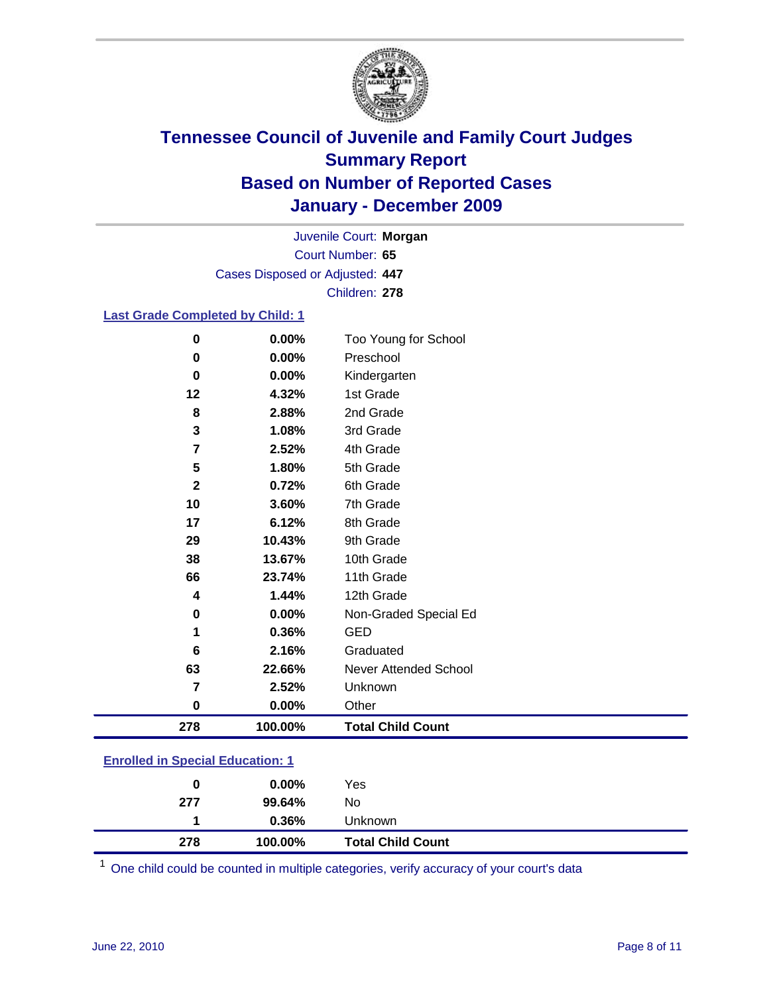

Court Number: **65** Juvenile Court: **Morgan** Cases Disposed or Adjusted: **447** Children: **278**

### **Last Grade Completed by Child: 1**

| 278            | 100.00% | <b>Total Child Count</b> |  |
|----------------|---------|--------------------------|--|
| $\bf{0}$       | 0.00%   | Other                    |  |
| 7              | 2.52%   | Unknown                  |  |
| 63             | 22.66%  | Never Attended School    |  |
| 6              | 2.16%   | Graduated                |  |
| 1              | 0.36%   | <b>GED</b>               |  |
| 0              | 0.00%   | Non-Graded Special Ed    |  |
| 4              | 1.44%   | 12th Grade               |  |
| 66             | 23.74%  | 11th Grade               |  |
| 38             | 13.67%  | 10th Grade               |  |
| 29             | 10.43%  | 9th Grade                |  |
| 17             | 6.12%   | 8th Grade                |  |
| 10             | 3.60%   | 7th Grade                |  |
| $\mathbf{2}$   | 0.72%   | 6th Grade                |  |
| 5              | 1.80%   | 5th Grade                |  |
| $\overline{7}$ | 2.52%   | 4th Grade                |  |
| 3              | 1.08%   | 3rd Grade                |  |
| 8              | 2.88%   | 2nd Grade                |  |
| 12             | 4.32%   | 1st Grade                |  |
| 0              | 0.00%   | Kindergarten             |  |
| 0              | 0.00%   | Preschool                |  |
| 0              | 0.00%   | Too Young for School     |  |

### **Enrolled in Special Education: 1**

| 278 | 100.00%  | <b>Total Child Count</b> |  |
|-----|----------|--------------------------|--|
|     | 0.36%    | <b>Unknown</b>           |  |
| 277 | 99.64%   | No                       |  |
| 0   | $0.00\%$ | Yes                      |  |
|     |          |                          |  |

One child could be counted in multiple categories, verify accuracy of your court's data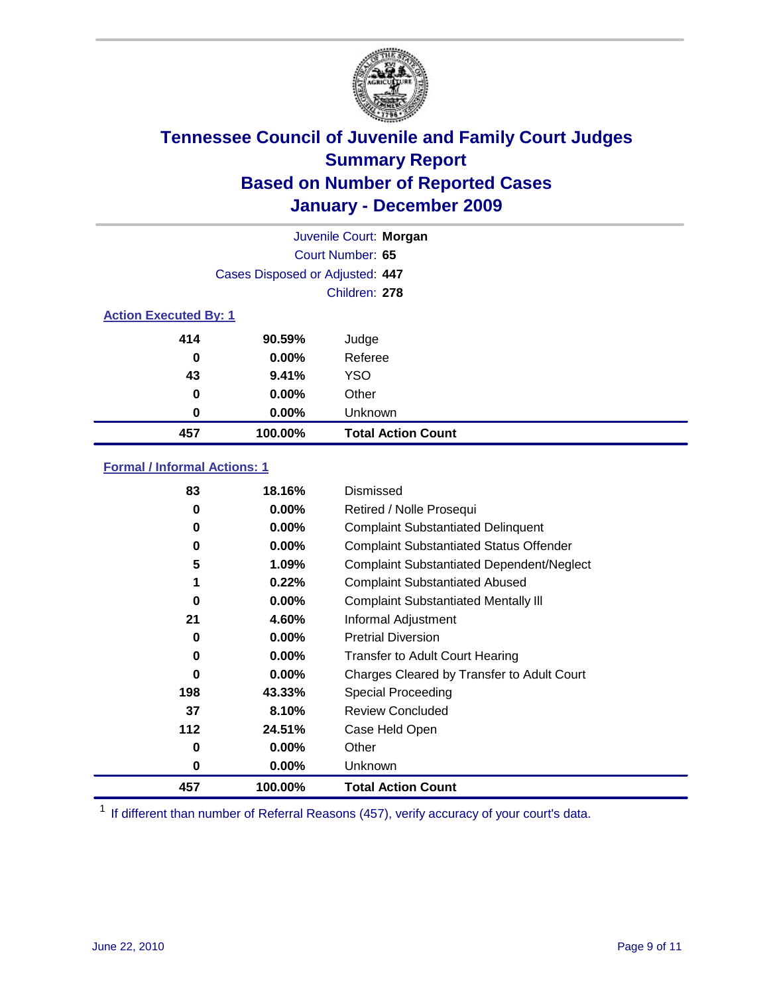

| Juvenile Court: Morgan       |                                 |                           |  |  |
|------------------------------|---------------------------------|---------------------------|--|--|
|                              | Court Number: 65                |                           |  |  |
|                              | Cases Disposed or Adjusted: 447 |                           |  |  |
|                              |                                 | Children: 278             |  |  |
| <b>Action Executed By: 1</b> |                                 |                           |  |  |
| 414                          | 90.59%                          | Judge                     |  |  |
| 0                            | $0.00\%$                        | Referee                   |  |  |
| 43                           | 9.41%                           | <b>YSO</b>                |  |  |
| 0                            | $0.00\%$                        | Other                     |  |  |
| 0                            | 0.00%                           | Unknown                   |  |  |
| 457                          | 100.00%                         | <b>Total Action Count</b> |  |  |

### **Formal / Informal Actions: 1**

| 83       | 18.16%   | Dismissed                                        |
|----------|----------|--------------------------------------------------|
| 0        | $0.00\%$ | Retired / Nolle Prosequi                         |
| 0        | $0.00\%$ | <b>Complaint Substantiated Delinquent</b>        |
| 0        | $0.00\%$ | <b>Complaint Substantiated Status Offender</b>   |
| 5        | 1.09%    | <b>Complaint Substantiated Dependent/Neglect</b> |
| 1        | 0.22%    | <b>Complaint Substantiated Abused</b>            |
| $\bf{0}$ | $0.00\%$ | <b>Complaint Substantiated Mentally III</b>      |
| 21       | 4.60%    | Informal Adjustment                              |
| 0        | $0.00\%$ | <b>Pretrial Diversion</b>                        |
| 0        | $0.00\%$ | <b>Transfer to Adult Court Hearing</b>           |
| 0        | $0.00\%$ | Charges Cleared by Transfer to Adult Court       |
| 198      | 43.33%   | Special Proceeding                               |
| 37       | 8.10%    | <b>Review Concluded</b>                          |
| 112      | 24.51%   | Case Held Open                                   |
| 0        | $0.00\%$ | Other                                            |
| 0        | $0.00\%$ | <b>Unknown</b>                                   |
| 457      | 100.00%  | <b>Total Action Count</b>                        |

<sup>1</sup> If different than number of Referral Reasons (457), verify accuracy of your court's data.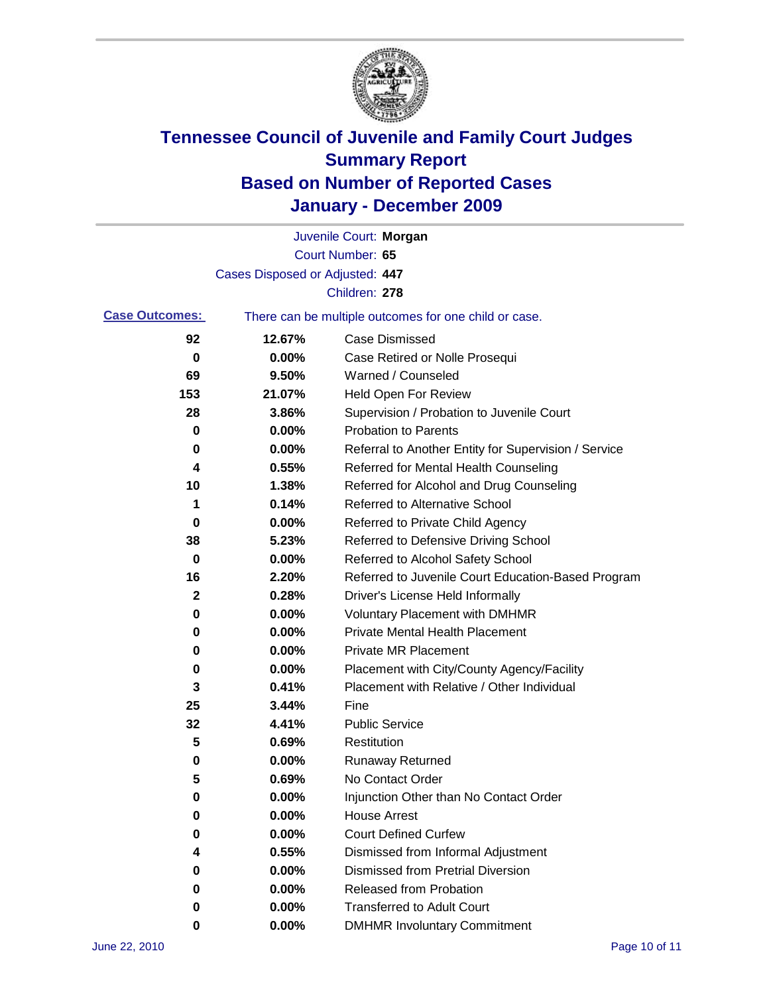

|                       |                                 | Juvenile Court: Morgan                                |
|-----------------------|---------------------------------|-------------------------------------------------------|
|                       |                                 | Court Number: 65                                      |
|                       | Cases Disposed or Adjusted: 447 |                                                       |
|                       |                                 | Children: 278                                         |
| <b>Case Outcomes:</b> |                                 | There can be multiple outcomes for one child or case. |
| 92                    | 12.67%                          | <b>Case Dismissed</b>                                 |
| 0                     | 0.00%                           | Case Retired or Nolle Prosequi                        |
| 69                    | 9.50%                           | Warned / Counseled                                    |
| 153                   | 21.07%                          | <b>Held Open For Review</b>                           |
| 28                    | 3.86%                           | Supervision / Probation to Juvenile Court             |
| 0                     | 0.00%                           | <b>Probation to Parents</b>                           |
| 0                     | 0.00%                           | Referral to Another Entity for Supervision / Service  |
| 4                     | 0.55%                           | Referred for Mental Health Counseling                 |
| 10                    | 1.38%                           | Referred for Alcohol and Drug Counseling              |
| 1                     | 0.14%                           | <b>Referred to Alternative School</b>                 |
| 0                     | 0.00%                           | Referred to Private Child Agency                      |
| 38                    | 5.23%                           | Referred to Defensive Driving School                  |
| 0                     | 0.00%                           | Referred to Alcohol Safety School                     |
| 16                    | 2.20%                           | Referred to Juvenile Court Education-Based Program    |
| 2                     | 0.28%                           | Driver's License Held Informally                      |
| 0                     | 0.00%                           | <b>Voluntary Placement with DMHMR</b>                 |
| 0                     | 0.00%                           | <b>Private Mental Health Placement</b>                |
| 0                     | 0.00%                           | <b>Private MR Placement</b>                           |
| 0                     | 0.00%                           | Placement with City/County Agency/Facility            |
| 3                     | 0.41%                           | Placement with Relative / Other Individual            |
| 25                    | 3.44%                           | Fine                                                  |
| 32                    | 4.41%                           | <b>Public Service</b>                                 |
| 5                     | 0.69%                           | Restitution                                           |
| 0                     | 0.00%                           | <b>Runaway Returned</b>                               |
| 5                     | 0.69%                           | No Contact Order                                      |
| 0                     | 0.00%                           | Injunction Other than No Contact Order                |
| 0                     | 0.00%                           | <b>House Arrest</b>                                   |
| 0                     | 0.00%                           | <b>Court Defined Curfew</b>                           |
| 4                     | 0.55%                           | Dismissed from Informal Adjustment                    |
| 0                     | 0.00%                           | <b>Dismissed from Pretrial Diversion</b>              |
| 0                     | 0.00%                           | <b>Released from Probation</b>                        |
| 0                     | 0.00%                           | <b>Transferred to Adult Court</b>                     |
| 0                     | $0.00\%$                        | <b>DMHMR Involuntary Commitment</b>                   |